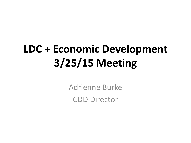## **LDC + Economic Development 3/25/15 Meeting**

Adrienne Burke CDD Director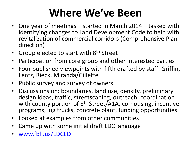### **Where We've Been**

- One year of meetings started in March 2014 tasked with identifying changes to Land Development Code to help with revitalization of commercial corridors (Comprehensive Plan direction)
- Group elected to start with 8<sup>th</sup> Street
- Participation from core group and other interested parties
- Four published viewpoints with fifth drafted by staff: Griffin, Lentz, Rieck, Miranda/Gillette
- Public survey and survey of owners
- Discussions on: boundaries, land use, density, preliminary design ideas, traffic, streetscaping, outreach, coordination with county portion of 8<sup>th</sup> Street/A1A, co-housing, incentive programs, log trucks, concrete plant, funding opportunities
- Looked at examples from other communities
- Came up with some initial draft LDC language
- [www.fbfl.us/LDCED](http://www.fbfl.us/LDCED)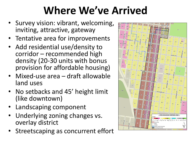### **Where We've Arrived**

- Survey vision: vibrant, welcoming, inviting, attractive, gateway
- Tentative area for improvements
- Add residential use/density to corridor – recommended high density (20-30 units with bonus provision for affordable housing)
- Mixed-use area draft allowable land uses
- No setbacks and 45' height limit (like downtown)
- Landscaping component
- Underlying zoning changes vs. overlay district
- Streetscaping as concurrent effort

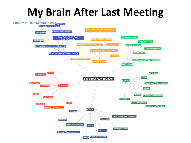#### **My Brain After Last Meeting**